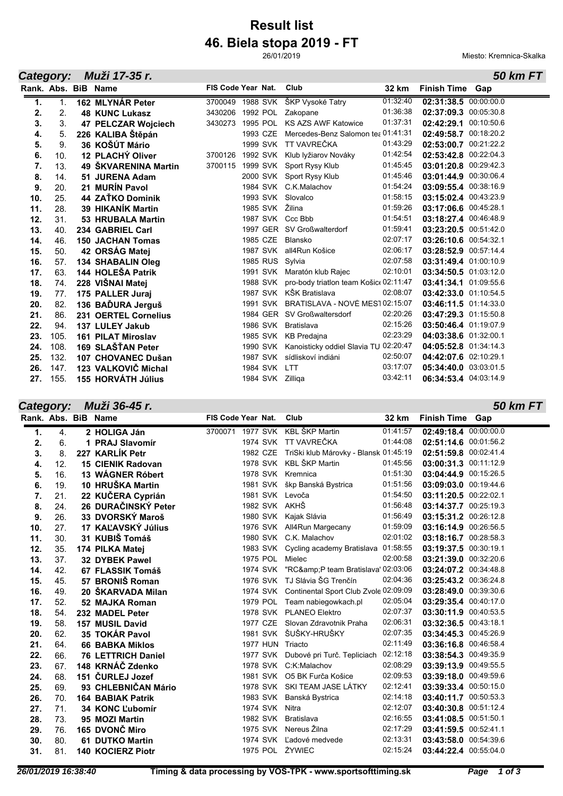## **46. Biela stopa 2019 - FT Result list**

26/01/2019

Miesto: Kremnica-Skalka

|                     | Muži 17-35 r.<br><b>50 km FT</b><br>Category: |  |                           |                    |          |              |                                                |          |                       |  |  |
|---------------------|-----------------------------------------------|--|---------------------------|--------------------|----------|--------------|------------------------------------------------|----------|-----------------------|--|--|
| Rank, Abs. BiB Name |                                               |  |                           | FIS Code Year Nat. |          |              | Club                                           | 32 km    | Finish Time Gap       |  |  |
| 1.                  | $\mathbf{1}$ .                                |  | 162 MLYNÁR Peter          | 3700049            |          |              | 1988 SVK ŠKP Vysoké Tatry                      | 01:32:40 | 02:31:38.5 00:00:00.0 |  |  |
| 2.                  | 2.                                            |  | <b>48 KUNC Lukasz</b>     | 3430206            |          | 1992 POL     | Zakopane                                       | 01:36:38 | 02:37:09.3 00:05:30.8 |  |  |
| 3.                  | 3.                                            |  | 47 PELCZAR Wojciech       | 3430273            |          | 1995 POL     | <b>KS AZS AWF Katowice</b>                     | 01:37:31 | 02:42:29.1 00:10:50.6 |  |  |
| 4.                  | 5.                                            |  | 226 KALIBA Štěpán         |                    | 1993 CZE |              | Mercedes-Benz Salomon tea 01:41:31             |          | 02:49:58.7 00:18:20.2 |  |  |
| 5.                  | 9.                                            |  | 36 KOŠÚT Mário            |                    |          |              | 1999 SVK TT VAVREČKA                           | 01:43:29 | 02:53:00.7 00:21:22.2 |  |  |
| 6.                  | 10.                                           |  | 12 PLACHÝ Oliver          | 3700126            |          |              | 1992 SVK Klub lyžiarov Nováky                  | 01:42:54 | 02:53:42.8 00:22:04.3 |  |  |
| 7.                  | 13.                                           |  | 49 ŠKVARENINA Martin      | 3700115            |          |              | 1999 SVK Sport Rysy Klub                       | 01:45:45 | 03:01:20.8 00:29:42.3 |  |  |
| 8.                  | 14.                                           |  | 51 JURENA Adam            |                    |          |              | 2000 SVK Sport Rysy Klub                       | 01:45:46 | 03:01:44.9 00:30:06.4 |  |  |
| 9.                  | 20.                                           |  | 21 MURÍN Pavol            |                    |          |              | 1984 SVK C.K.Malachov                          | 01:54:24 | 03:09:55.4 00:38:16.9 |  |  |
| 10.                 | 25.                                           |  | 44 ZAŤKO Dominik          |                    |          |              | 1993 SVK Slovalco                              | 01:58:15 | 03:15:02.4 00:43:23.9 |  |  |
| 11.                 | 28.                                           |  | 39 HIKANÍK Martin         |                    |          |              | 1985 SVK Žilina                                | 01:59:26 | 03:17:06.6 00:45:28.1 |  |  |
| 12.                 | 31.                                           |  | 53 HRUBALA Martin         |                    |          |              | 1987 SVK Ccc Bbb                               | 01:54:51 | 03:18:27.4 00:46:48.9 |  |  |
| 13.                 | 40.                                           |  | 234 GABRIEL Carl          |                    |          |              | 1997 GER SV Großwalterdorf                     | 01:59:41 | 03:23:20.5 00:51:42.0 |  |  |
| 14.                 | 46.                                           |  | <b>150 JACHAN Tomas</b>   |                    | 1985 CZE |              | Blansko                                        | 02:07:17 | 03:26:10.6 00:54:32.1 |  |  |
| 15.                 | 50.                                           |  | 42 ORSÁG Matej            |                    |          | 1987 SVK     | all4Run Košice                                 | 02:06:17 | 03:28:52.9 00:57:14.4 |  |  |
| 16.                 | 57.                                           |  | 134 SHABALIN Oleg         |                    |          |              | 1985 RUS Sylvia                                | 02:07:58 | 03:31:49.4 01:00:10.9 |  |  |
| 17.                 | 63.                                           |  | 144 HOLEŠA Patrik         |                    |          |              | 1991 SVK Maratón klub Rajec                    | 02:10:01 | 03:34:50.5 01:03:12.0 |  |  |
| 18.                 | 74.                                           |  | 228 VIŠNAI Matej          |                    |          |              | 1988 SVK pro-body triatlon team Košic 02:11:47 |          | 03:41:34.1 01:09:55.6 |  |  |
| 19.                 | 77.                                           |  | 175 PALLER Juraj          |                    |          |              | 1987 SVK KŠK Bratislava                        | 02:08:07 | 03:42:33.0 01:10:54.5 |  |  |
| 20.                 | 82.                                           |  | 136 BAĎURA Jerguš         |                    |          | 1991 SVK     | BRATISLAVA - NOVÉ MES1 02:15:07                |          | 03:46:11.5 01:14:33.0 |  |  |
| 21.                 | 86.                                           |  | 231 OERTEL Cornelius      |                    |          |              | 1984 GER SV Großwaltersdorf                    | 02:20:26 | 03:47:29.3 01:15:50.8 |  |  |
| 22.                 | 94.                                           |  | 137 LULEY Jakub           |                    |          | 1986 SVK     | Bratislava                                     | 02:15:26 | 03:50:46.4 01:19:07.9 |  |  |
| 23.                 | 105.                                          |  | <b>161 PILAT Miroslav</b> |                    |          |              | 1985 SVK KB Predajna                           | 02:23:29 | 04:03:38.6 01:32:00.1 |  |  |
| 24.                 | 108.                                          |  | 169 SLAŠŤAN Peter         |                    |          |              | 1990 SVK Kanoisticky oddiel Slavia TU 02:20:47 |          | 04:05:52.8 01:34:14.3 |  |  |
| 25.                 | 132.                                          |  | 107 CHOVANEC Dušan        |                    |          |              | 1987 SVK sídliskoví indiáni                    | 02:50:07 | 04:42:07.6 02:10:29.1 |  |  |
| 26.                 | 147.                                          |  | 123 VALKOVIČ Michal       |                    |          | 1984 SVK LTT |                                                | 03:17:07 | 05:34:40.0 03:03:01.5 |  |  |
| 27.                 | 155.                                          |  | <b>155 HORVÁTH Július</b> |                    |          |              | 1984 SVK Zilliga                               | 03:42:11 | 06:34:53.4 04:03:14.9 |  |  |

*Category: Muži 36-45 r.*

*50 km FT*

|     |                                                             | FIS Code Year Nat.                                                                                                                                                                                                                                                                                                                                                                                                                                                                                                                                                                                                                                                                                            | Club     | 32 km                                                                                                                                                                                                                                                                                                                                                                                                                                                                                                                                                                                                                                                                                                               | <b>Finish Time Gap</b>                                                                                                                                                                                                                                                                                                                                                                                                     |
|-----|-------------------------------------------------------------|---------------------------------------------------------------------------------------------------------------------------------------------------------------------------------------------------------------------------------------------------------------------------------------------------------------------------------------------------------------------------------------------------------------------------------------------------------------------------------------------------------------------------------------------------------------------------------------------------------------------------------------------------------------------------------------------------------------|----------|---------------------------------------------------------------------------------------------------------------------------------------------------------------------------------------------------------------------------------------------------------------------------------------------------------------------------------------------------------------------------------------------------------------------------------------------------------------------------------------------------------------------------------------------------------------------------------------------------------------------------------------------------------------------------------------------------------------------|----------------------------------------------------------------------------------------------------------------------------------------------------------------------------------------------------------------------------------------------------------------------------------------------------------------------------------------------------------------------------------------------------------------------------|
| 4.  |                                                             |                                                                                                                                                                                                                                                                                                                                                                                                                                                                                                                                                                                                                                                                                                               |          | 01:41:57                                                                                                                                                                                                                                                                                                                                                                                                                                                                                                                                                                                                                                                                                                            | 02:49:18.4 00:00:00.0                                                                                                                                                                                                                                                                                                                                                                                                      |
| 6.  |                                                             |                                                                                                                                                                                                                                                                                                                                                                                                                                                                                                                                                                                                                                                                                                               |          | 01:44:08                                                                                                                                                                                                                                                                                                                                                                                                                                                                                                                                                                                                                                                                                                            | 02:51:14.6 00:01:56.2                                                                                                                                                                                                                                                                                                                                                                                                      |
| 8.  |                                                             | 1982 CZE                                                                                                                                                                                                                                                                                                                                                                                                                                                                                                                                                                                                                                                                                                      |          |                                                                                                                                                                                                                                                                                                                                                                                                                                                                                                                                                                                                                                                                                                                     | 02:51:59.8 00:02:41.4                                                                                                                                                                                                                                                                                                                                                                                                      |
| 12. |                                                             |                                                                                                                                                                                                                                                                                                                                                                                                                                                                                                                                                                                                                                                                                                               |          | 01:45:56                                                                                                                                                                                                                                                                                                                                                                                                                                                                                                                                                                                                                                                                                                            | 03:00:31.3 00:11:12.9                                                                                                                                                                                                                                                                                                                                                                                                      |
| 16. |                                                             |                                                                                                                                                                                                                                                                                                                                                                                                                                                                                                                                                                                                                                                                                                               |          | 01:51:30                                                                                                                                                                                                                                                                                                                                                                                                                                                                                                                                                                                                                                                                                                            | 03:04:44.9 00:15:26.5                                                                                                                                                                                                                                                                                                                                                                                                      |
| 19. |                                                             |                                                                                                                                                                                                                                                                                                                                                                                                                                                                                                                                                                                                                                                                                                               |          | 01:51:56                                                                                                                                                                                                                                                                                                                                                                                                                                                                                                                                                                                                                                                                                                            | 03:09:03.0 00:19:44.6                                                                                                                                                                                                                                                                                                                                                                                                      |
| 21. |                                                             |                                                                                                                                                                                                                                                                                                                                                                                                                                                                                                                                                                                                                                                                                                               |          | 01:54:50                                                                                                                                                                                                                                                                                                                                                                                                                                                                                                                                                                                                                                                                                                            | 03:11:20.5 00:22:02.1                                                                                                                                                                                                                                                                                                                                                                                                      |
| 24. |                                                             |                                                                                                                                                                                                                                                                                                                                                                                                                                                                                                                                                                                                                                                                                                               |          | 01:56:48                                                                                                                                                                                                                                                                                                                                                                                                                                                                                                                                                                                                                                                                                                            | 03:14:37.7 00:25:19.3                                                                                                                                                                                                                                                                                                                                                                                                      |
| 26. |                                                             |                                                                                                                                                                                                                                                                                                                                                                                                                                                                                                                                                                                                                                                                                                               |          |                                                                                                                                                                                                                                                                                                                                                                                                                                                                                                                                                                                                                                                                                                                     | 03:15:31.2 00:26:12.8                                                                                                                                                                                                                                                                                                                                                                                                      |
| 27. |                                                             |                                                                                                                                                                                                                                                                                                                                                                                                                                                                                                                                                                                                                                                                                                               |          |                                                                                                                                                                                                                                                                                                                                                                                                                                                                                                                                                                                                                                                                                                                     | 03:16:14.9 00:26:56.5                                                                                                                                                                                                                                                                                                                                                                                                      |
|     |                                                             |                                                                                                                                                                                                                                                                                                                                                                                                                                                                                                                                                                                                                                                                                                               |          |                                                                                                                                                                                                                                                                                                                                                                                                                                                                                                                                                                                                                                                                                                                     | 03:18:16.7 00:28:58.3                                                                                                                                                                                                                                                                                                                                                                                                      |
| 35. |                                                             |                                                                                                                                                                                                                                                                                                                                                                                                                                                                                                                                                                                                                                                                                                               |          |                                                                                                                                                                                                                                                                                                                                                                                                                                                                                                                                                                                                                                                                                                                     | 03:19:37.5 00:30:19.1                                                                                                                                                                                                                                                                                                                                                                                                      |
| 37. |                                                             | 1975 POL                                                                                                                                                                                                                                                                                                                                                                                                                                                                                                                                                                                                                                                                                                      | Mielec   |                                                                                                                                                                                                                                                                                                                                                                                                                                                                                                                                                                                                                                                                                                                     | 03:21:39.0 00:32:20.6                                                                                                                                                                                                                                                                                                                                                                                                      |
| 42. |                                                             | <b>1974 SVK</b>                                                                                                                                                                                                                                                                                                                                                                                                                                                                                                                                                                                                                                                                                               |          |                                                                                                                                                                                                                                                                                                                                                                                                                                                                                                                                                                                                                                                                                                                     | 03:24:07.2 00:34:48.8                                                                                                                                                                                                                                                                                                                                                                                                      |
| 45. |                                                             |                                                                                                                                                                                                                                                                                                                                                                                                                                                                                                                                                                                                                                                                                                               |          |                                                                                                                                                                                                                                                                                                                                                                                                                                                                                                                                                                                                                                                                                                                     | 03:25:43.2 00:36:24.8                                                                                                                                                                                                                                                                                                                                                                                                      |
| 49. |                                                             |                                                                                                                                                                                                                                                                                                                                                                                                                                                                                                                                                                                                                                                                                                               |          |                                                                                                                                                                                                                                                                                                                                                                                                                                                                                                                                                                                                                                                                                                                     | 03:28:49.0 00:39:30.6                                                                                                                                                                                                                                                                                                                                                                                                      |
|     |                                                             |                                                                                                                                                                                                                                                                                                                                                                                                                                                                                                                                                                                                                                                                                                               |          |                                                                                                                                                                                                                                                                                                                                                                                                                                                                                                                                                                                                                                                                                                                     | 03:29:35.4 00:40:17.0                                                                                                                                                                                                                                                                                                                                                                                                      |
| 54. |                                                             |                                                                                                                                                                                                                                                                                                                                                                                                                                                                                                                                                                                                                                                                                                               |          |                                                                                                                                                                                                                                                                                                                                                                                                                                                                                                                                                                                                                                                                                                                     | 03:30:11.9 00:40:53.5                                                                                                                                                                                                                                                                                                                                                                                                      |
| 58. |                                                             |                                                                                                                                                                                                                                                                                                                                                                                                                                                                                                                                                                                                                                                                                                               |          |                                                                                                                                                                                                                                                                                                                                                                                                                                                                                                                                                                                                                                                                                                                     | 03:32:36.5 00:43:18.1                                                                                                                                                                                                                                                                                                                                                                                                      |
|     |                                                             |                                                                                                                                                                                                                                                                                                                                                                                                                                                                                                                                                                                                                                                                                                               |          |                                                                                                                                                                                                                                                                                                                                                                                                                                                                                                                                                                                                                                                                                                                     | 03:34:45.3 00:45:26.9                                                                                                                                                                                                                                                                                                                                                                                                      |
| 64. |                                                             |                                                                                                                                                                                                                                                                                                                                                                                                                                                                                                                                                                                                                                                                                                               |          |                                                                                                                                                                                                                                                                                                                                                                                                                                                                                                                                                                                                                                                                                                                     | 03:36:16.8 00:46:58.4                                                                                                                                                                                                                                                                                                                                                                                                      |
|     |                                                             |                                                                                                                                                                                                                                                                                                                                                                                                                                                                                                                                                                                                                                                                                                               |          |                                                                                                                                                                                                                                                                                                                                                                                                                                                                                                                                                                                                                                                                                                                     | 03:38:54.3 00:49:35.9                                                                                                                                                                                                                                                                                                                                                                                                      |
|     |                                                             |                                                                                                                                                                                                                                                                                                                                                                                                                                                                                                                                                                                                                                                                                                               |          |                                                                                                                                                                                                                                                                                                                                                                                                                                                                                                                                                                                                                                                                                                                     | 03:39:13.9 00:49:55.5                                                                                                                                                                                                                                                                                                                                                                                                      |
| 68. |                                                             |                                                                                                                                                                                                                                                                                                                                                                                                                                                                                                                                                                                                                                                                                                               |          |                                                                                                                                                                                                                                                                                                                                                                                                                                                                                                                                                                                                                                                                                                                     | 03:39:18.0 00:49:59.6                                                                                                                                                                                                                                                                                                                                                                                                      |
|     |                                                             |                                                                                                                                                                                                                                                                                                                                                                                                                                                                                                                                                                                                                                                                                                               |          |                                                                                                                                                                                                                                                                                                                                                                                                                                                                                                                                                                                                                                                                                                                     | 03:39:33.4 00:50:15.0                                                                                                                                                                                                                                                                                                                                                                                                      |
|     |                                                             |                                                                                                                                                                                                                                                                                                                                                                                                                                                                                                                                                                                                                                                                                                               |          |                                                                                                                                                                                                                                                                                                                                                                                                                                                                                                                                                                                                                                                                                                                     | 03:40:11.7 00:50:53.3                                                                                                                                                                                                                                                                                                                                                                                                      |
|     |                                                             |                                                                                                                                                                                                                                                                                                                                                                                                                                                                                                                                                                                                                                                                                                               |          |                                                                                                                                                                                                                                                                                                                                                                                                                                                                                                                                                                                                                                                                                                                     | 03:40:30.8 00:51:12.4                                                                                                                                                                                                                                                                                                                                                                                                      |
|     |                                                             |                                                                                                                                                                                                                                                                                                                                                                                                                                                                                                                                                                                                                                                                                                               |          |                                                                                                                                                                                                                                                                                                                                                                                                                                                                                                                                                                                                                                                                                                                     | 03:41:08.5 00:51:50.1                                                                                                                                                                                                                                                                                                                                                                                                      |
| 76. |                                                             |                                                                                                                                                                                                                                                                                                                                                                                                                                                                                                                                                                                                                                                                                                               |          |                                                                                                                                                                                                                                                                                                                                                                                                                                                                                                                                                                                                                                                                                                                     | 03:41:59.5 00:52:41.1                                                                                                                                                                                                                                                                                                                                                                                                      |
| 80. |                                                             |                                                                                                                                                                                                                                                                                                                                                                                                                                                                                                                                                                                                                                                                                                               |          |                                                                                                                                                                                                                                                                                                                                                                                                                                                                                                                                                                                                                                                                                                                     | 03:43:58.0 00:54:39.6                                                                                                                                                                                                                                                                                                                                                                                                      |
| 81. |                                                             |                                                                                                                                                                                                                                                                                                                                                                                                                                                                                                                                                                                                                                                                                                               |          |                                                                                                                                                                                                                                                                                                                                                                                                                                                                                                                                                                                                                                                                                                                     | 03:44:22.4 00:55:04.0                                                                                                                                                                                                                                                                                                                                                                                                      |
|     | 30.<br>52.<br>62.<br>66.<br>67.<br>69.<br>70.<br>71.<br>73. | Rank. Abs. BiB Name<br>2 HOLIGA Ján<br>1 PRAJ Slavomír<br>227 KARLÍK Petr<br><b>15 CIENIK Radovan</b><br>13 WÁGNER Róbert<br>10 HRUŠKA Martin<br>22 KUČERA Cyprián<br>26 DURAČINSKÝ Peter<br>33 DVORSKÝ Maroš<br>17 KAĽAVSKÝ Július<br>31 KUBIŠ Tomáš<br>174 PILKA Matej<br><b>32 DYBEK Pawel</b><br>67 FLASSIK Tomáš<br>57 BRONIŠ Roman<br>20 ŠKARVADA Milan<br>52 MAJKA Roman<br>232 MADEL Peter<br><b>157 MUSIL David</b><br>35 TOKÁR Pavol<br><b>66 BABKA Miklos</b><br><b>76 LETTRICH Daniel</b><br>148 KRNÁČ Zdenko<br>151 ČURLEJ Jozef<br>93 CHLEBNIČAN Mário<br><b>164 BABIAK Patrik</b><br>34 KONC Lubomír<br>95 MOZI Martin<br>165 DVONČ Miro<br><b>61 DUTKO Martin</b><br><b>140 KOCIERZ Piotr</b> | 1982 SVK | 3700071 1977 SVK KBL ŠKP Martin<br>1974 SVK TT VAVREČKA<br>1978 SVK KBL ŠKP Martin<br>1978 SVK Kremnica<br>1981 SVK škp Banská Bystrica<br>1981 SVK Levoča<br>1982 SVK AKHŠ<br>1980 SVK Kajak Slávia<br>1976 SVK All4Run Margecany<br>1980 SVK C.K. Malachov<br>1976 SVK TJ Slávia ŠG Trenčín<br>1979 POL Team nabiegowkach.pl<br>1978 SVK PLANEO Elektro<br>1977 CZE Slovan Zdravotnik Praha<br>1981 SVK ŠUŠKY-HRUŠKY<br>1977 HUN Triacto<br>1977 SVK Dubové pri Turč. Tepliciach<br>1978 SVK C:K:Malachov<br>1981 SVK O5 BK Furča Košice<br>1978 SVK SKI TEAM JASE LÁTKY<br>1983 SVK<br>Banská Bystrica<br>1974 SVK Nitra<br>Bratislava<br>Nereus Žilna<br>1975 SVK<br>1974 SVK Ladové medvede<br>1975 POL ŻYWIEC | TriSki klub Márovky - Blansk 01:45:19<br>01:56:49<br>01:59:09<br>02:01:02<br>1983 SVK Cycling academy Bratislava 01:58:55<br>02:00:58<br>"RC&P team Bratislava' 02:03:06<br>02:04:36<br>1974 SVK Continental Sport Club Zvole 02:09:09<br>02:05:04<br>02:07:37<br>02:06:31<br>02:07:35<br>02:11:49<br>02:12:18<br>02:08:29<br>02:09:53<br>02:12:41<br>02:14:18<br>02:12:07<br>02:16:55<br>02:17:29<br>02:13:31<br>02:15:24 |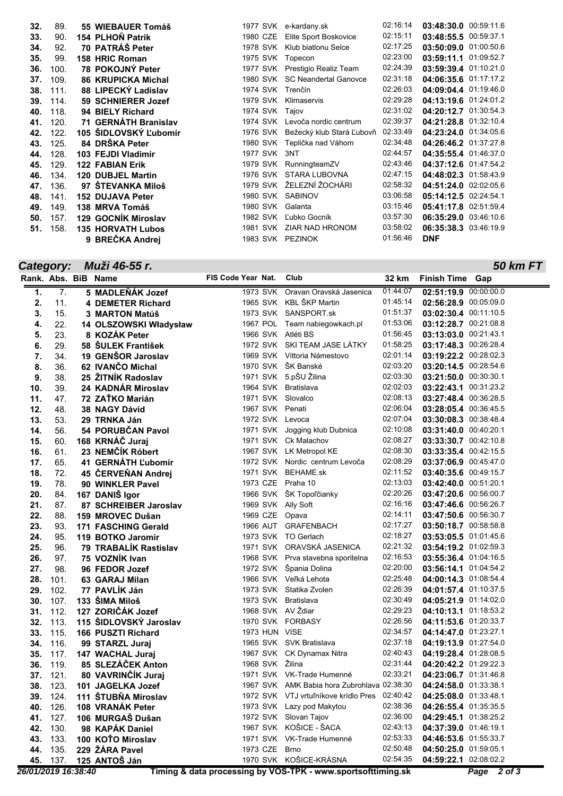| 32. | 89.  | 55 WIEBAUER Tomáš         | 1977 SVK | e-kardany.sk                       | 02:16:14 | 03:48:30.0 00:59:11.6 |  |
|-----|------|---------------------------|----------|------------------------------------|----------|-----------------------|--|
| 33. | 90.  | 154 PLHON Patrik          | 1980 CZE | Elite Sport Boskovice              | 02:15:11 | 03:48:55.5 00:59:37.1 |  |
| 34. | 92.  | 70 PATRÁŠ Peter           | 1978 SVK | Klub biatlonu Selce                | 02:17:25 | 03:50:09.0 01:00:50.6 |  |
| 35. | 99.  | 158 HRIC Roman            | 1975 SVK | Topecon                            | 02:23:00 | 03:59:11.1 01:09:52.7 |  |
| 36. | 100. | 78 POKOJNÝ Peter          | 1977 SVK | Prestigio Realiz Team              | 02:24:39 | 03:59:39.4 01:10:21.0 |  |
| 37. | 109. | <b>86 KRUPICKA Michal</b> | 1980 SVK | <b>SC Neandertal Ganovce</b>       | 02:31:18 | 04:06:35.6 01:17:17.2 |  |
| 38. | 111. | 88 LIPECKÝ Ladislav       | 1974 SVK | Trenčín                            | 02:26:03 | 04:09:04.4 01:19:46.0 |  |
| 39. | 114. | 59 SCHNIERER Jozef        | 1979 SVK | Klimaservis                        | 02:29:28 | 04:13:19.6 01:24:01.2 |  |
| 40. | 118. | 94 BIELY Richard          | 1974 SVK | Tajov                              | 02:31:02 | 04:20:12.7 01:30:54.3 |  |
| 41. | 120. | 71 GERNÁTH Branislav      | 1974 SVK | Levoča nordic centrum              | 02:39:37 | 04:21:28.8 01:32:10.4 |  |
| 42. | 122. | 105 ŠIDLOVSKÝ Ľubomír     |          | 1976 SVK Bežecký klub Stará Ľubovň | 02:33:49 | 04:23:24.0 01:34:05.6 |  |
| 43. | 125. | 84 DRŠKA Peter            | 1980 SVK | Teplička nad Váhom                 | 02:34:48 | 04:26:46.2 01:37:27.8 |  |
| 44. | 128. | 103 FEJDI Vladimir        | 1977 SVK | 3NT                                | 02:44:57 | 04:35:55.4 01:46:37.0 |  |
| 45. | 129. | <b>122 FABIAN Erik</b>    | 1979 SVK | RunningteamZV                      | 02:43:46 | 04:37:12.6 01:47:54.2 |  |
| 46. | 134. | <b>120 DUBJEL Martin</b>  | 1976 SVK | STARA LUBOVNA                      | 02:47:15 | 04:48:02.3 01:58:43.9 |  |
| 47. | 136. | 97 ŠTEVANKA Miloš         | 1979 SVK | ŽELEZNÍ ŽOCHÁRI                    | 02:58:32 | 04:51:24.0 02:02:05.6 |  |
| 48. | 141. | <b>152 DUJAVA Peter</b>   | 1980 SVK | <b>SABINOV</b>                     | 03:06:58 | 05:14:12.5 02:24:54.1 |  |
| 49. | 149. | 138 MRVA Tomáš            | 1980 SVK | Galanta                            | 03:15:46 | 05:41:17.8 02:51:59.4 |  |
| 50. | 157. | 129 GOCNIK Miroslav       | 1982 SVK | Ľubko Gocník                       | 03:57:30 | 06:35:29.0 03:46:10.6 |  |
| 51. | 158. | <b>135 HORVATH Lubos</b>  | 1981 SVK | ZIAR NAD HRONOM                    | 03:58:02 | 06:35:38.3 03:46:19.9 |  |
|     |      | 9 BREČKA Andrej           |          | 1983 SVK PEZINOK                   | 01:56:46 | <b>DNF</b>            |  |

## *Category: Muži 46-55 r.*

*50 km FT*

|     |      | Rank. Abs. BiB Name          | FIS Code Year Nat.  | Club                                        | 32 km    | <b>Finish Time Gap</b>  |
|-----|------|------------------------------|---------------------|---------------------------------------------|----------|-------------------------|
| 1.  | 7.   | 5 MADLEŇÁK Jozef             | 1973 SVK            | Oravan Oravská Jasenica                     | 01:44:07 | 02:51:19.9 00:00:00.0   |
| 2.  | 11.  | <b>4 DEMETER Richard</b>     |                     | 1965 SVK KBL ŠKP Martin                     | 01:45:14 | 02:56:28.9 00:05:09.0   |
| 3.  | 15.  | 3 MARTON Matúš               |                     | 1973 SVK SANSPORT.sk                        | 01:51:37 | 03:02:30.4 00:11:10.5   |
| 4.  | 22.  | 14 OLSZOWSKI Władysław       |                     | 1967 POL Team nabiegowkach.pl               | 01:53:06 | 03:12:28.7 00:21:08.8   |
| 5.  | 23.  | 8 KOZÁK Peter                | 1966 SVK Atléti BS  |                                             | 01:56:45 | 03:13:03.0 00:21:43.1   |
| 6.  | 29.  | 58 ŠULEK František           |                     | 1972 SVK SKI TEAM JASE LÁTKY                | 01:58:25 | 03:17:48.3 00:26:28.4   |
| 7.  | 34.  | 19 GENŠOR Jaroslav           |                     | 1969 SVK Vittoria Námestovo                 | 02:01:14 | 03:19:22.2 00:28:02.3   |
| 8.  | 36.  | 62 IVANČO Michal             |                     | 1970 SVK ŠK Banské                          | 02:03:20 | 03:20:14.5 00:28:54.6   |
| 9.  | 38.  | 25 ŽITNÍK Radoslav           |                     | 1971 SVK 5.pŠU Žilina                       | 02:03:30 | $03:21:50.0$ 00:30:30.1 |
| 10. | 39.  | 24 KADNÁR Miroslav           | 1964 SVK Bratislava |                                             | 02:02:03 | 03:22:43.1 00:31:23.2   |
| 11. | 47.  | 72 ZAŤKO Marián              | 1971 SVK Slovalco   |                                             | 02:08:13 | 03:27:48.4 00:36:28.5   |
| 12. | 48.  | <b>38 NAGY Dávid</b>         | 1967 SVK Penati     |                                             | 02:06:04 | 03:28:05.4 00:36:45.5   |
| 13. | 53.  | 29 TRNKA Ján                 | 1972 SVK            | Levoca                                      | 02:07:04 | 03:30:08.3 00:38:48.4   |
| 14. | 56.  | 54 PORUBČAN Pavol            | 1971 SVK            | Jogging klub Dubnica                        | 02:10:08 | 03:31:40.0 00:40:20.1   |
| 15. | 60.  | 168 KRNÁČ Juraj              |                     | 1971 SVK Ck Malachov                        | 02:08:27 | 03:33:30.7 00:42:10.8   |
| 16. | 61.  | 23 NEMČÍK Róbert             |                     | 1967 SVK LK Metropol KE                     | 02:08:30 | 03:33:35.4 00:42:15.5   |
| 17. | 65.  | 41 GERNATH L'ubomír          |                     | 1972 SVK Nordic centrum Levoča              | 02:08:29 | 03:37:06.9 00:45:47.0   |
| 18. | 72.  | 45 ČERVEŇAN Andrej           |                     | 1971 SVK BEHAME.sk                          | 02:11:52 | 03:40:35.6 00:49:15.7   |
| 19. | 78.  | 90 WINKLER Pavel             | 1973 CZE            | Praha 10                                    | 02:13:03 | 03:42:40.0 00:51:20.1   |
| 20. | 84.  | 167 DANIŠ Igor               |                     | 1966 SVK ŠK Topoľčianky                     | 02:20:26 | 03:47:20.6 00:56:00.7   |
| 21. | 87.  | 87 SCHREIBER Jaroslav        | 1969 SVK Ally Soft  |                                             | 02:16:16 | 03:47:46.6 00:56:26.7   |
| 22. | 88.  | 159 MROVEC Dušan             | 1969 CZE            | Opava                                       | 02:14:11 | 03:47:50.6 00:56:30.7   |
| 23. | 93.  | <b>171 FASCHING Gerald</b>   |                     | 1966 AUT GRAFENBACH                         | 02:17:27 | 03:50:18.7 00:58:58.8   |
| 24. | 95.  | 119 BOTKO Jaromír            |                     | 1973 SVK TO Gerlach                         | 02:18:27 | 03:53:05.5 01:01:45.6   |
| 25. | 96.  | <b>79 TRABALIK Rastislav</b> |                     | 1971 SVK ORAVSKÁ JASENICA                   | 02:21:32 | 03:54:19.2 01:02:59.3   |
| 26. | 97.  | 75 VOZNIK Ivan               |                     | 1968 SVK Prva stavebna sporitelna           | 02:16:53 | 03:55:36.4 01:04:16.5   |
| 27. | 98.  | 96 FEDOR Jozef               |                     | 1972 SVK Špania Dolina                      | 02:20:00 | 03:56:14.1 01:04:54.2   |
| 28. | 101. | 63 GARAJ Milan               |                     | 1966 SVK Veľká Lehota                       | 02:25:48 | 04:00:14.3 01:08:54.4   |
| 29. | 102. | 77 PAVLÍK Ján                |                     | 1973 SVK Statika Zvolen                     | 02:26:39 | 04:01:57.4 01:10:37.5   |
| 30. | 107. | 133 ŠIMA Miloš               | 1973 SVK Bratislava |                                             | 02:30:49 | 04:05:21.9 01:14:02.0   |
| 31. | 112. | 127 ZORIČÁK Jozef            | 1968 SVK AV Ždiar   |                                             | 02:29:23 | 04:10:13.1 01:18:53.2   |
| 32. | 113. | 115 ŠIDLOVSKÝ Jaroslav       | 1970 SVK FORBASY    |                                             | 02:26:56 | 04:11:53.6 01:20:33.7   |
| 33. | 115. | 166 PUSZTI Richard           | 1973 HUN VISE       |                                             | 02:34:57 | 04:14:47.0 01:23:27.1   |
| 34. | 116. | 99 STARZL Juraj              |                     | 1965 SVK SVK Bratislava                     | 02:37:18 | 04:19:13.9 01:27:54.0   |
| 35. | 117. | <b>147 WACHAL Juraj</b>      |                     | 1967 SVK CK Dynamax Nitra                   | 02:40:43 | 04:19:28.4 01:28:08.5   |
| 36. | 119. | 85 SLEZÁČEK Anton            | 1968 SVK Žilina     |                                             | 02:31:44 | 04:20:42.2 01:29:22.3   |
| 37. | 121. | 80 VAVRINČÍK Juraj           |                     | 1971 SVK VK-Trade Humenné                   | 02:33:21 | 04:23:06.7 01:31:46.8   |
| 38. | 123. | 101 JAGELKA Jozef            |                     | 1967 SVK AMK Babia hora Zubrohlava 02:38:30 |          | 04:24:58.0 01:33:38.1   |
| 39. | 124. | 111 ŠTUBŇA Miroslav          |                     | 1972 SVK VTJ vrtuľníkove krídlo Pres        | 02:40:42 | 04:25:08.0 01:33:48.1   |
| 40. | 126. | 108 VRANÁK Peter             |                     | 1973 SVK Lazy pod Makytou                   | 02:38:36 | 04:26:55.4 01:35:35.5   |
| 41. | 127. | 106 MURGAŠ Dušan             |                     | 1972 SVK Slovan Tajov                       | 02:36:00 | 04:29:45.1 01:38:25.2   |
| 42. | 130. | 98 KAPÁK Daniel              |                     | 1967 SVK KOŠICE - ŠACA                      | 02:43:13 | 04:37:39.0 01:46:19.1   |
| 43. | 133. | 100 KOTO Miroslav            |                     | 1971 SVK VK-Trade Humenné                   | 02:53:33 | 04:46:53.6 01:55:33.7   |
| 44. | 135. | 229 ŽÁRA Pavel               | 1973 CZE            | <b>Brno</b>                                 | 02:50:48 | 04:50:25.0 01:59:05.1   |
| 45. | 137. | 125 ANTOŠ Ján                |                     | 1970 SVK KOŠICE-KRÁSNA                      | 02:54:35 | 04:59:22.1 02:08:02.2   |